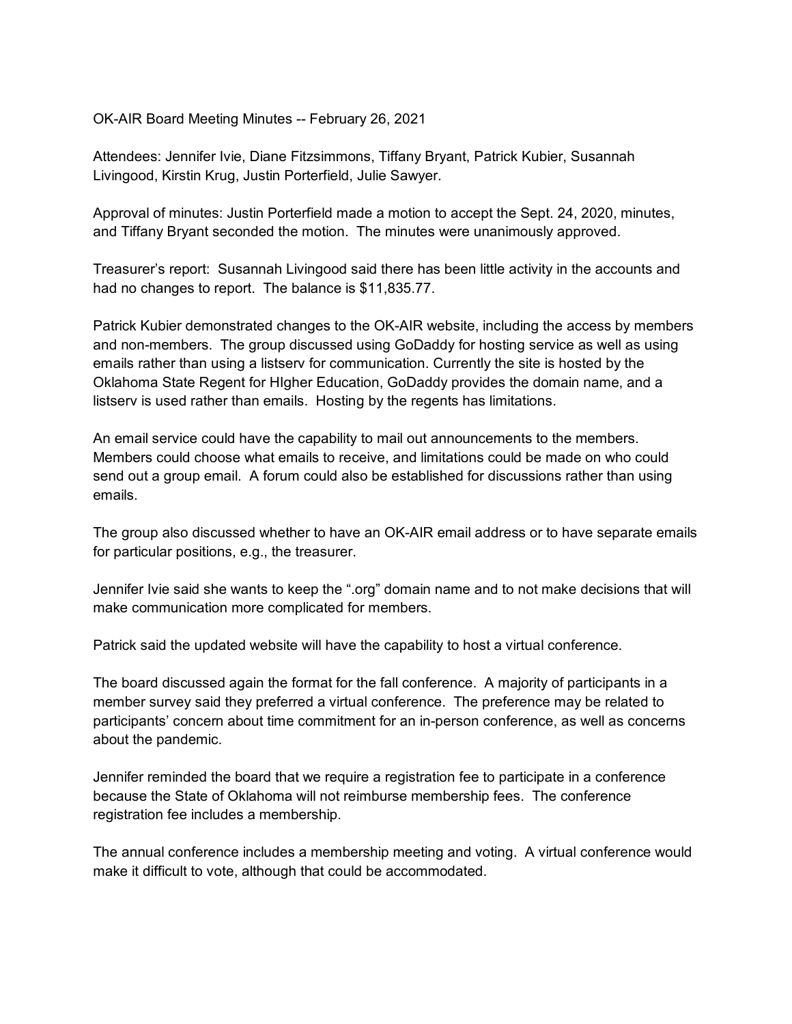### OK-AIR Board Meeting Minutes -- February 26, 2021

Attendees: Jennifer Ivie, Diane Fitzsimmons, Tiffany Bryant, Patrick Kubier, Susannah Livingood, Kirstin Krug, Justin Porterfield, Julie Sawyer.

Approval of minutes: Justin Porterfield made a motion to accept the Sept. 24, 2020, minutes, and Tiffany Bryant seconded the motion. The minutes were unanimously approved.

Treasurer's report: Susannah Livingood said there has been little activity in the accounts and had no changes to report. The balance is \$11,835.77.

Patrick Kubier demonstrated changes to the OK-AIR website, including the access by members and non-members. The group discussed using GoDaddy for hosting service as well as using emails rather than using a listserv for communication. Currently the site is hosted by the Oklahoma State Regent for HIgher Education, GoDaddy provides the domain name, and a listserv is used rather than emails. Hosting by the regents has limitations.

An email service could have the capability to mail out announcements to the members. Members could choose what emails to receive, and limitations could be made on who could send out a group email. A forum could also be established for discussions rather than using emails.

The group also discussed whether to have an OK-AIR email address or to have separate emails for particular positions, e.g., the treasurer.

Jennifer Ivie said she wants to keep the ".org" domain name and to not make decisions that will make communication more complicated for members.

Patrick said the updated website will have the capability to host a virtual conference.

The board discussed again the format for the fall conference. A majority of participants in a member survey said they preferred a virtual conference. The preference may be related to participants' concern about time commitment for an in-person conference, as well as concerns about the pandemic.

Jennifer reminded the board that we require a registration fee to participate in a conference because the State of Oklahoma will not reimburse membership fees. The conference registration fee includes a membership.

The annual conference includes a membership meeting and voting. A virtual conference would make it difficult to vote, although that could be accommodated.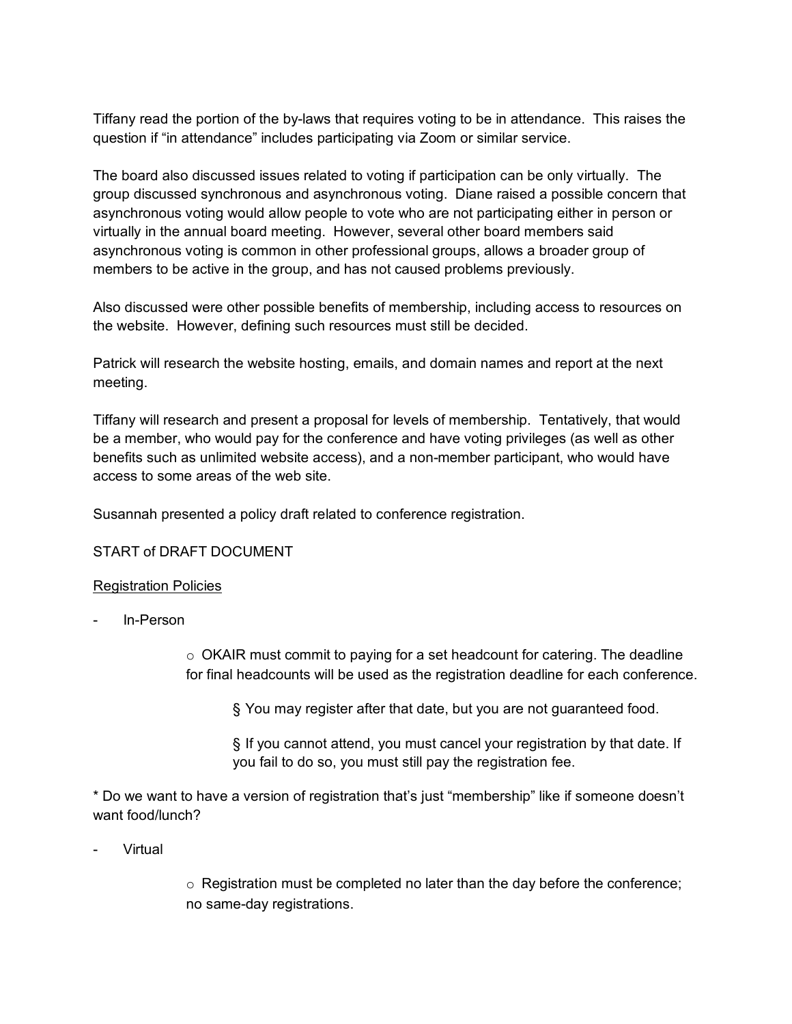Tiffany read the portion of the by-laws that requires voting to be in attendance. This raises the question if "in attendance" includes participating via Zoom or similar service.

The board also discussed issues related to voting if participation can be only virtually. The group discussed synchronous and asynchronous voting. Diane raised a possible concern that asynchronous voting would allow people to vote who are not participating either in person or virtually in the annual board meeting. However, several other board members said asynchronous voting is common in other professional groups, allows a broader group of members to be active in the group, and has not caused problems previously.

Also discussed were other possible benefits of membership, including access to resources on the website. However, defining such resources must still be decided.

Patrick will research the website hosting, emails, and domain names and report at the next meeting.

Tiffany will research and present a proposal for levels of membership. Tentatively, that would be a member, who would pay for the conference and have voting privileges (as well as other benefits such as unlimited website access), and a non-member participant, who would have access to some areas of the web site.

Susannah presented a policy draft related to conference registration.

## START of DRAFT DOCUMENT

#### Registration Policies

In-Person

o OKAIR must commit to paying for a set headcount for catering. The deadline for final headcounts will be used as the registration deadline for each conference.

§ You may register after that date, but you are not guaranteed food.

§ If you cannot attend, you must cancel your registration by that date. If you fail to do so, you must still pay the registration fee.

\* Do we want to have a version of registration that's just "membership" like if someone doesn't want food/lunch?

**Virtual** 

 $\circ$  Registration must be completed no later than the day before the conference; no same-day registrations.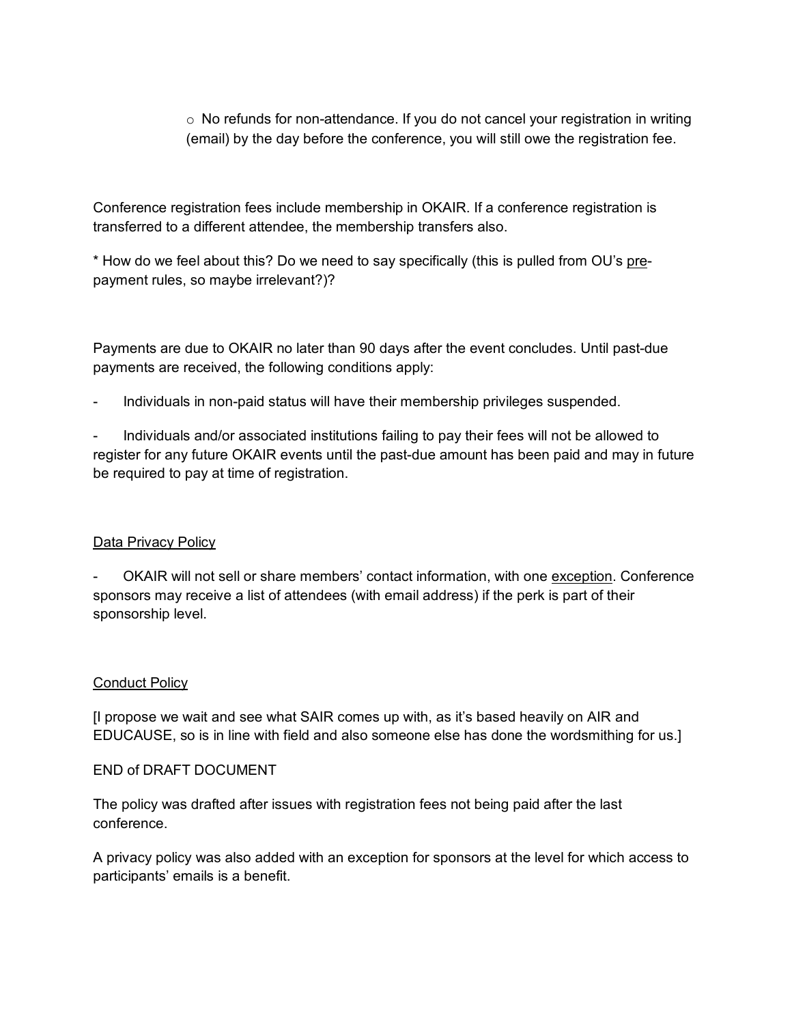$\circ$  No refunds for non-attendance. If you do not cancel your registration in writing (email) by the day before the conference, you will still owe the registration fee.

Conference registration fees include membership in OKAIR. If a conference registration is transferred to a different attendee, the membership transfers also.

\* How do we feel about this? Do we need to say specifically (this is pulled from OU's prepayment rules, so maybe irrelevant?)?

Payments are due to OKAIR no later than 90 days after the event concludes. Until past-due payments are received, the following conditions apply:

- Individuals in non-paid status will have their membership privileges suspended.

- Individuals and/or associated institutions failing to pay their fees will not be allowed to register for any future OKAIR events until the past-due amount has been paid and may in future be required to pay at time of registration.

# Data Privacy Policy

OKAIR will not sell or share members' contact information, with one exception. Conference sponsors may receive a list of attendees (with email address) if the perk is part of their sponsorship level.

## **Conduct Policy**

[I propose we wait and see what SAIR comes up with, as it's based heavily on AIR and EDUCAUSE, so is in line with field and also someone else has done the wordsmithing for us.]

## END of DRAFT DOCUMENT

The policy was drafted after issues with registration fees not being paid after the last conference.

A privacy policy was also added with an exception for sponsors at the level for which access to participants' emails is a benefit.